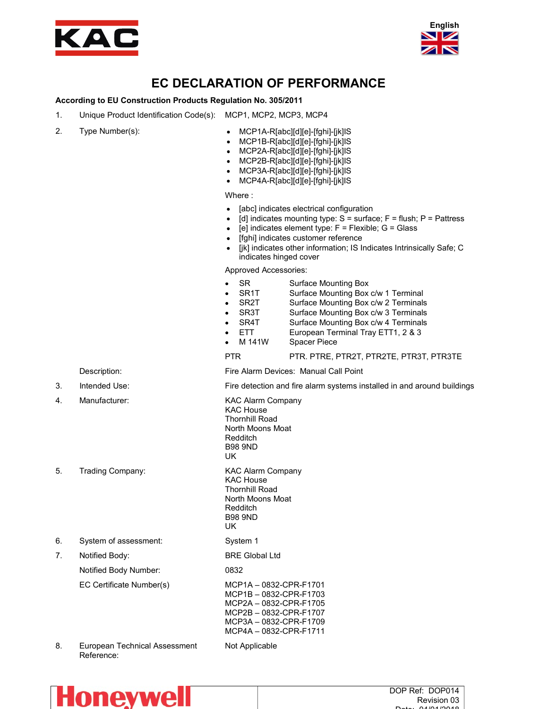



## EC DECLARATION OF PERFORMANCE

## According to EU Construction Products Regulation No. 305/2011

- 1. Unique Product Identification Code(s): MCP1, MCP2, MCP3, MCP4
- 
- 2. Type Number(s):  $\bullet$  MCP1A-R[abc][d][e]-[fghi]-[jk]IS
	- MCP1B-R[abc][d][e]-[fghi]-[jk]IS  $\bullet$
	- MCP2A-R[abc][d][e]-[fghi]-[jk]IS
	- MCP2B-R[abc][d][e]-[fghi]-[jk]IS
	- MCP3A-R[abc][d][e]-[fghi]-[jk]IS
	- MCP4A-R[abc][d][e]-[fghi]-[jk]IS

Where :

- [abc] indicates electrical configuration
- [d] indicates mounting type:  $S =$  surface;  $F =$  flush;  $P =$  Pattress
- [e] indicates element type: F = Flexible; G = Glass
- [fghi] indicates customer reference
- [jk] indicates other information; IS Indicates Intrinsically Safe; C indicates hinged cover

Approved Accessories:

- SR Surface Mounting Box
- SR1T Surface Mounting Box c/w 1 Terminal
- SR2T Surface Mounting Box c/w 2 Terminals
- SR3T Surface Mounting Box c/w 3 Terminals
- SR4T Surface Mounting Box c/w 4 Terminals
- ETT European Terminal Tray ETT1, 2 & 3
- M 141W Spacer Piece

## PTR PTR. PTRE, PTR2T, PTR2TE, PTR3T, PTR3TE

Description: The Alarm Devices: Manual Call Point

3. Intended Use: Fire detection and fire alarm systems installed in and around buildings

4. Manufacturer: KAC Alarm Company KAC House Thornhill Road North Moons Moat Redditch B98 9ND UK **UK Andre State State State State State** State State State State State State State State State State State State State State State State State State State State State State State State State State State State State Stat KAC House Thornhill Road North Moons Moat Redditch B98 9ND UK **UK Andre State State State State State** State State State State State State State State State State State State State State State State State State State State State State State State State State State State State Stat 6. System of assessment: System 1

7. Notified Body: BRE Global Ltd

Notified Body Number: 0832

EC Certificate Number(s) MCP1A – 0832-CPR-F1701 MCP1B – 0832-CPR-F1703 MCP2A – 0832-CPR-F1705 MCP2B – 0832-CPR-F1707 MCP3A – 0832-CPR-F1709 MCP4A – 0832-CPR-F1711

Not Applicable

8. European Technical Assessment Reference:



- 
- 
- 5. Trading Company: KAC Alarm Company